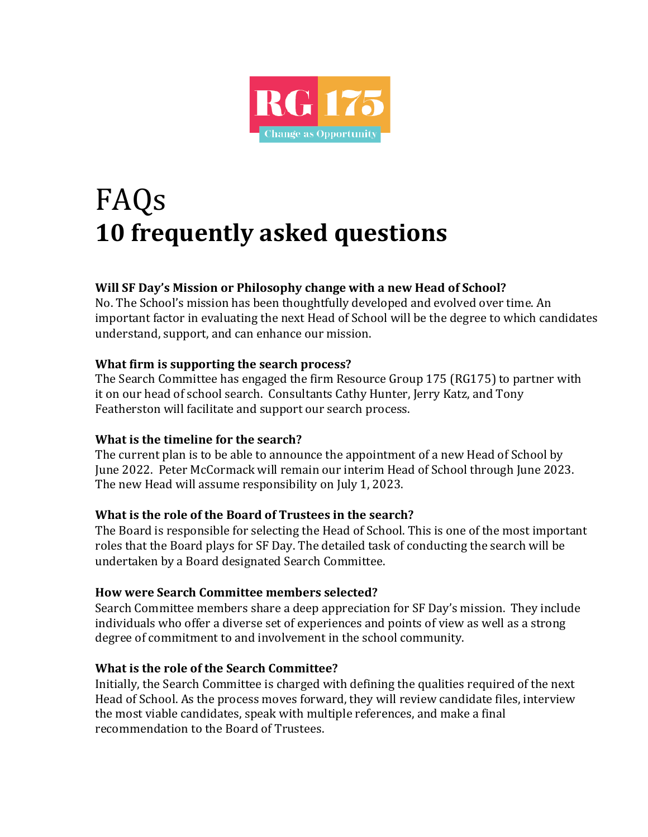

# FAQs **10 frequently asked questions**

# **Will SF Day's Mission or Philosophy change with a new Head of School?**

No. The School's mission has been thoughtfully developed and evolved over time. An important factor in evaluating the next Head of School will be the degree to which candidates understand, support, and can enhance our mission.

## **What firm is supporting the search process?**

The Search Committee has engaged the firm Resource Group 175 (RG175) to partner with it on our head of school search. Consultants Cathy Hunter, Jerry Katz, and Tony Featherston will facilitate and support our search process.

# **What is the timeline for the search?**

The current plan is to be able to announce the appointment of a new Head of School by June 2022. Peter McCormack will remain our interim Head of School through June 2023. The new Head will assume responsibility on July 1, 2023.

# **What is the role of the Board of Trustees in the search?**

The Board is responsible for selecting the Head of School. This is one of the most important roles that the Board plays for SF Day. The detailed task of conducting the search will be undertaken by a Board designated Search Committee.

#### **How were Search Committee members selected?**

Search Committee members share a deep appreciation for SF Day's mission. They include individuals who offer a diverse set of experiences and points of view as well as a strong degree of commitment to and involvement in the school community.

#### **What is the role of the Search Committee?**

Initially, the Search Committee is charged with defining the qualities required of the next Head of School. As the process moves forward, they will review candidate files, interview the most viable candidates, speak with multiple references, and make a final recommendation to the Board of Trustees.